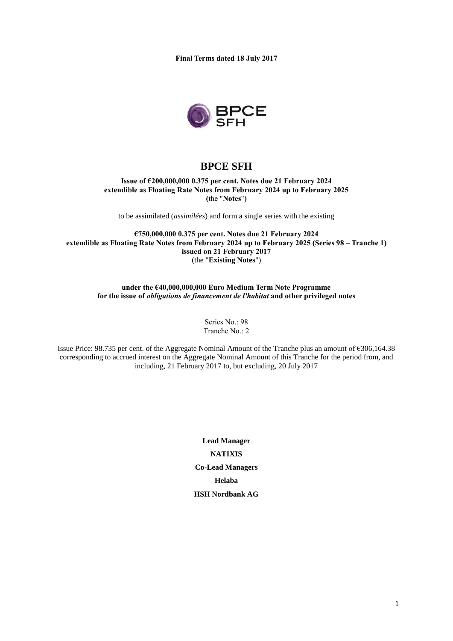**Final Terms dated 18 July 2017**



# **BPCE SFH**

## **Issue of €200,000,000 0.375 per cent. Notes due 21 February 2024 extendible as Floating Rate Notes from February 2024 up to February 2025 (**the "**Notes**"**)**

to be assimilated (*assimilées*) and form a single series with the existing

**€750,000,000 0.375 per cent. Notes due 21 February 2024 extendible as Floating Rate Notes from February 2024 up to February 2025 (Series 98 – Tranche 1) issued on 21 February 2017** (the "**Existing Notes**")

## **under the €40,000,000,000 Euro Medium Term Note Programme for the issue of** *obligations de financement de l'habitat* **and other privileged notes**

Series No.: 98 Tranche No.: 2

Issue Price: 98.735 per cent. of the Aggregate Nominal Amount of the Tranche plus an amount of €306,164.38 corresponding to accrued interest on the Aggregate Nominal Amount of this Tranche for the period from, and including, 21 February 2017 to, but excluding, 20 July 2017

> **Lead Manager NATIXIS Co-Lead Managers Helaba HSH Nordbank AG**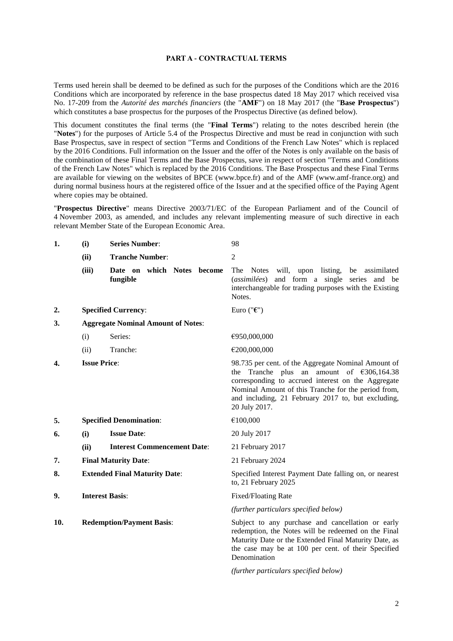#### **PART A - CONTRACTUAL TERMS**

Terms used herein shall be deemed to be defined as such for the purposes of the Conditions which are the 2016 Conditions which are incorporated by reference in the base prospectus dated 18 May 2017 which received visa No. 17-209 from the *Autorité des marchés financiers* (the "**AMF**") on 18 May 2017 (the "**Base Prospectus**") which constitutes a base prospectus for the purposes of the Prospectus Directive (as defined below).

This document constitutes the final terms (the "**Final Terms**") relating to the notes described herein (the "**Notes**") for the purposes of Article 5.4 of the Prospectus Directive and must be read in conjunction with such Base Prospectus, save in respect of section "Terms and Conditions of the French Law Notes" which is replaced by the 2016 Conditions. Full information on the Issuer and the offer of the Notes is only available on the basis of the combination of these Final Terms and the Base Prospectus, save in respect of section "Terms and Conditions of the French Law Notes" which is replaced by the 2016 Conditions. The Base Prospectus and these Final Terms are available for viewing on the websites of BPCE (www.bpce.fr) and of the AMF (www.amf-france.org) and during normal business hours at the registered office of the Issuer and at the specified office of the Paying Agent where copies may be obtained.

"**Prospectus Directive**" means Directive 2003/71/EC of the European Parliament and of the Council of 4 November 2003, as amended, and includes any relevant implementing measure of such directive in each relevant Member State of the European Economic Area.

| 1.  | (i)                                       | <b>Series Number:</b>                  | 98                                                                                                                                                                                                                                                                                                   |
|-----|-------------------------------------------|----------------------------------------|------------------------------------------------------------------------------------------------------------------------------------------------------------------------------------------------------------------------------------------------------------------------------------------------------|
|     | (ii)                                      | <b>Tranche Number:</b>                 | 2                                                                                                                                                                                                                                                                                                    |
|     | (iii)                                     | Date on which Notes become<br>fungible | The Notes will, upon listing, be assimilated<br>and form a single series and be<br>(assimilées)<br>interchangeable for trading purposes with the Existing<br>Notes.                                                                                                                                  |
| 2.  |                                           | <b>Specified Currency:</b>             | Euro (" $\epsilon$ ")                                                                                                                                                                                                                                                                                |
| 3.  | <b>Aggregate Nominal Amount of Notes:</b> |                                        |                                                                                                                                                                                                                                                                                                      |
|     | (i)                                       | Series:                                | €950,000,000                                                                                                                                                                                                                                                                                         |
|     | (ii)                                      | Tranche:                               | €200,000,000                                                                                                                                                                                                                                                                                         |
| 4.  | <b>Issue Price:</b>                       |                                        | 98.735 per cent. of the Aggregate Nominal Amount of<br>Tranche<br>plus an amount of $\epsilon$ 306,164.38<br>the<br>corresponding to accrued interest on the Aggregate<br>Nominal Amount of this Tranche for the period from,<br>and including, 21 February 2017 to, but excluding,<br>20 July 2017. |
| 5.  | <b>Specified Denomination:</b>            |                                        | €100,000                                                                                                                                                                                                                                                                                             |
| 6.  | (i)                                       | <b>Issue Date:</b>                     | 20 July 2017                                                                                                                                                                                                                                                                                         |
|     | (ii)                                      | <b>Interest Commencement Date:</b>     | 21 February 2017                                                                                                                                                                                                                                                                                     |
| 7.  | <b>Final Maturity Date:</b>               |                                        | 21 February 2024                                                                                                                                                                                                                                                                                     |
| 8.  | <b>Extended Final Maturity Date:</b>      |                                        | Specified Interest Payment Date falling on, or nearest<br>to, 21 February 2025                                                                                                                                                                                                                       |
| 9.  | <b>Interest Basis:</b>                    |                                        | <b>Fixed/Floating Rate</b>                                                                                                                                                                                                                                                                           |
|     |                                           |                                        | (further particulars specified below)                                                                                                                                                                                                                                                                |
| 10. |                                           | <b>Redemption/Payment Basis:</b>       | Subject to any purchase and cancellation or early<br>redemption, the Notes will be redeemed on the Final<br>Maturity Date or the Extended Final Maturity Date, as<br>the case may be at 100 per cent. of their Specified<br>Denomination                                                             |

*(further particulars specified below)*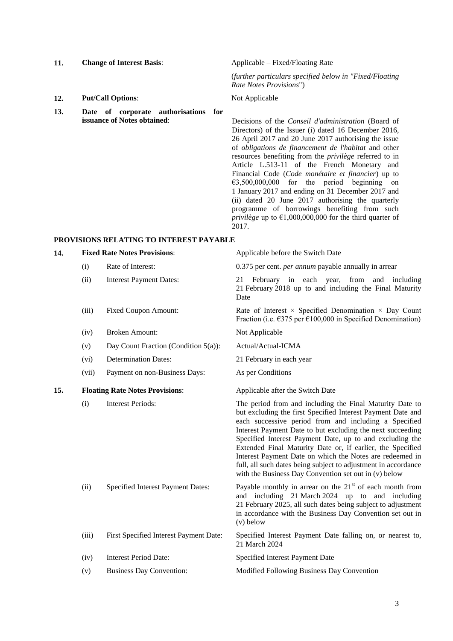## **11. Change of Interest Basis**: Applicable – Fixed/Floating Rate

- **12. Put/Call Options**: Not Applicable
- **13. Date of corporate authorisations for**

(*further particulars specified below in "Fixed/Floating Rate Notes Provisions*")

**issuance of Notes obtained**: Decisions of the *Conseil d'administration* (Board of Directors) of the Issuer (i) dated 16 December 2016, 26 April 2017 and 20 June 2017 authorising the issue of *obligations de financement de l'habitat* and other resources benefiting from the *privilège* referred to in Article L.513-11 of the French Monetary and Financial Code (*Code monétaire et financier*) up to  $\epsilon$ 3,500,000,000 for the period beginning on 1 January 2017 and ending on 31 December 2017 and (ii) dated 20 June 2017 authorising the quarterly programme of borrowings benefiting from such *privilège* up to  $\epsilon$ 1,000,000,000 for the third quarter of 2017.

## **PROVISIONS RELATING TO INTEREST PAYABLE**

| Rate of Interest:<br>(i)<br>(ii)<br><b>Interest Payment Dates:</b><br>21<br>Date<br><b>Fixed Coupon Amount:</b><br>(iii)<br><b>Broken Amount:</b><br>Not Applicable<br>(iv)<br>Actual/Actual-ICMA<br>Day Count Fraction (Condition 5(a)):<br>(v)<br><b>Determination Dates:</b><br>21 February in each year<br>(vi)<br>(vii)<br>Payment on non-Business Days:<br>As per Conditions<br>15.<br><b>Floating Rate Notes Provisions:</b><br>Applicable after the Switch Date<br><b>Interest Periods:</b><br>(i)<br>Specified Interest Payment Dates:<br>(ii)<br>$(v)$ below<br>First Specified Interest Payment Date:<br>(iii)<br>21 March 2024<br><b>Interest Period Date:</b><br>Specified Interest Payment Date<br>(iv) | 14. | <b>Fixed Rate Notes Provisions:</b> |  | Applicable before the Switch Date                                                                                                                                                                                                                                                                                                                                                                                                                                                                                                                               |
|-----------------------------------------------------------------------------------------------------------------------------------------------------------------------------------------------------------------------------------------------------------------------------------------------------------------------------------------------------------------------------------------------------------------------------------------------------------------------------------------------------------------------------------------------------------------------------------------------------------------------------------------------------------------------------------------------------------------------|-----|-------------------------------------|--|-----------------------------------------------------------------------------------------------------------------------------------------------------------------------------------------------------------------------------------------------------------------------------------------------------------------------------------------------------------------------------------------------------------------------------------------------------------------------------------------------------------------------------------------------------------------|
|                                                                                                                                                                                                                                                                                                                                                                                                                                                                                                                                                                                                                                                                                                                       |     |                                     |  | 0.375 per cent. <i>per annum</i> payable annually in arrear                                                                                                                                                                                                                                                                                                                                                                                                                                                                                                     |
|                                                                                                                                                                                                                                                                                                                                                                                                                                                                                                                                                                                                                                                                                                                       |     |                                     |  | February in each year, from and including<br>21 February 2018 up to and including the Final Maturity                                                                                                                                                                                                                                                                                                                                                                                                                                                            |
|                                                                                                                                                                                                                                                                                                                                                                                                                                                                                                                                                                                                                                                                                                                       |     |                                     |  | Rate of Interest $\times$ Specified Denomination $\times$ Day Count<br>Fraction (i.e. $\epsilon$ 375 per $\epsilon$ 100,000 in Specified Denomination)                                                                                                                                                                                                                                                                                                                                                                                                          |
|                                                                                                                                                                                                                                                                                                                                                                                                                                                                                                                                                                                                                                                                                                                       |     |                                     |  |                                                                                                                                                                                                                                                                                                                                                                                                                                                                                                                                                                 |
|                                                                                                                                                                                                                                                                                                                                                                                                                                                                                                                                                                                                                                                                                                                       |     |                                     |  |                                                                                                                                                                                                                                                                                                                                                                                                                                                                                                                                                                 |
|                                                                                                                                                                                                                                                                                                                                                                                                                                                                                                                                                                                                                                                                                                                       |     |                                     |  |                                                                                                                                                                                                                                                                                                                                                                                                                                                                                                                                                                 |
|                                                                                                                                                                                                                                                                                                                                                                                                                                                                                                                                                                                                                                                                                                                       |     |                                     |  |                                                                                                                                                                                                                                                                                                                                                                                                                                                                                                                                                                 |
|                                                                                                                                                                                                                                                                                                                                                                                                                                                                                                                                                                                                                                                                                                                       |     |                                     |  |                                                                                                                                                                                                                                                                                                                                                                                                                                                                                                                                                                 |
|                                                                                                                                                                                                                                                                                                                                                                                                                                                                                                                                                                                                                                                                                                                       |     |                                     |  | The period from and including the Final Maturity Date to<br>but excluding the first Specified Interest Payment Date and<br>each successive period from and including a Specified<br>Interest Payment Date to but excluding the next succeeding<br>Specified Interest Payment Date, up to and excluding the<br>Extended Final Maturity Date or, if earlier, the Specified<br>Interest Payment Date on which the Notes are redeemed in<br>full, all such dates being subject to adjustment in accordance<br>with the Business Day Convention set out in (v) below |
|                                                                                                                                                                                                                                                                                                                                                                                                                                                                                                                                                                                                                                                                                                                       |     |                                     |  | Payable monthly in arrear on the $21st$ of each month from<br>and including 21 March 2024 up to and including<br>21 February 2025, all such dates being subject to adjustment<br>in accordance with the Business Day Convention set out in                                                                                                                                                                                                                                                                                                                      |
|                                                                                                                                                                                                                                                                                                                                                                                                                                                                                                                                                                                                                                                                                                                       |     |                                     |  | Specified Interest Payment Date falling on, or nearest to,                                                                                                                                                                                                                                                                                                                                                                                                                                                                                                      |
|                                                                                                                                                                                                                                                                                                                                                                                                                                                                                                                                                                                                                                                                                                                       |     |                                     |  |                                                                                                                                                                                                                                                                                                                                                                                                                                                                                                                                                                 |

(v) Business Day Convention: Modified Following Business Day Convention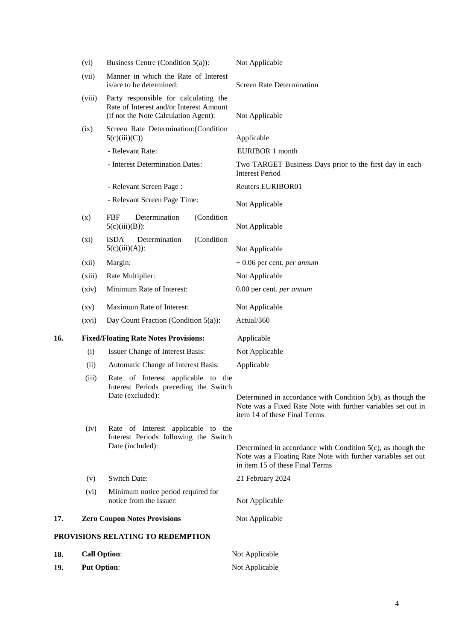|     | (vi)                                         | Business Centre (Condition $5(a)$ ):                                                                                     | Not Applicable                                                                                                                                                    |
|-----|----------------------------------------------|--------------------------------------------------------------------------------------------------------------------------|-------------------------------------------------------------------------------------------------------------------------------------------------------------------|
|     | (vii)                                        | Manner in which the Rate of Interest<br>is/are to be determined:                                                         | <b>Screen Rate Determination</b>                                                                                                                                  |
|     | (viii)                                       | Party responsible for calculating the<br>Rate of Interest and/or Interest Amount<br>(if not the Note Calculation Agent): | Not Applicable                                                                                                                                                    |
|     | (ix)                                         | Screen Rate Determination: (Condition<br>5(c)(iii)(C))                                                                   | Applicable                                                                                                                                                        |
|     |                                              | - Relevant Rate:                                                                                                         | EURIBOR 1 month                                                                                                                                                   |
|     |                                              | - Interest Determination Dates:                                                                                          | Two TARGET Business Days prior to the first day in each<br><b>Interest Period</b>                                                                                 |
|     |                                              | - Relevant Screen Page:                                                                                                  | Reuters EURIBOR01                                                                                                                                                 |
|     |                                              | - Relevant Screen Page Time:                                                                                             | Not Applicable                                                                                                                                                    |
|     | (x)                                          | <b>FBF</b><br>Determination<br>(Condition<br>$5(c)(iii)(B))$ :                                                           | Not Applicable                                                                                                                                                    |
|     | (xi)                                         | <b>ISDA</b><br>Determination<br>(Condition<br>$5(c)(iii)(A))$ :                                                          | Not Applicable                                                                                                                                                    |
|     | (xii)                                        | Margin:                                                                                                                  | $+0.06$ per cent. <i>per annum</i>                                                                                                                                |
|     | (xiii)                                       | Rate Multiplier:                                                                                                         | Not Applicable                                                                                                                                                    |
|     | (xiv)                                        | Minimum Rate of Interest:                                                                                                | 0.00 per cent. per annum                                                                                                                                          |
|     | $\left( xy\right)$                           | Maximum Rate of Interest:                                                                                                | Not Applicable                                                                                                                                                    |
|     | (xvi)                                        | Day Count Fraction (Condition 5(a)):                                                                                     | Actual/360                                                                                                                                                        |
| 16. | <b>Fixed/Floating Rate Notes Provisions:</b> |                                                                                                                          | Applicable                                                                                                                                                        |
|     | (i)                                          | Issuer Change of Interest Basis:                                                                                         | Not Applicable                                                                                                                                                    |
|     | (ii)                                         | Automatic Change of Interest Basis:                                                                                      | Applicable                                                                                                                                                        |
|     | (iii)                                        | Rate of Interest applicable to the<br>Interest Periods preceding the Switch<br>Date (excluded):                          | Determined in accordance with Condition 5(b), as though the<br>Note was a Fixed Rate Note with further variables set out in<br>item 14 of these Final Terms       |
|     | (iv)                                         | Rate of Interest applicable to the<br>Interest Periods following the Switch<br>Date (included):                          | Determined in accordance with Condition $5(c)$ , as though the<br>Note was a Floating Rate Note with further variables set out<br>in item 15 of these Final Terms |
|     | (v)                                          | Switch Date:                                                                                                             | 21 February 2024                                                                                                                                                  |
|     | (vi)                                         | Minimum notice period required for<br>notice from the Issuer:                                                            | Not Applicable                                                                                                                                                    |
| 17. |                                              | <b>Zero Coupon Notes Provisions</b>                                                                                      | Not Applicable                                                                                                                                                    |
|     |                                              | PROVISIONS RELATING TO REDEMPTION                                                                                        |                                                                                                                                                                   |
| 18. | <b>Call Option:</b>                          |                                                                                                                          | Not Applicable                                                                                                                                                    |
| 19. | <b>Put Option:</b>                           |                                                                                                                          | Not Applicable                                                                                                                                                    |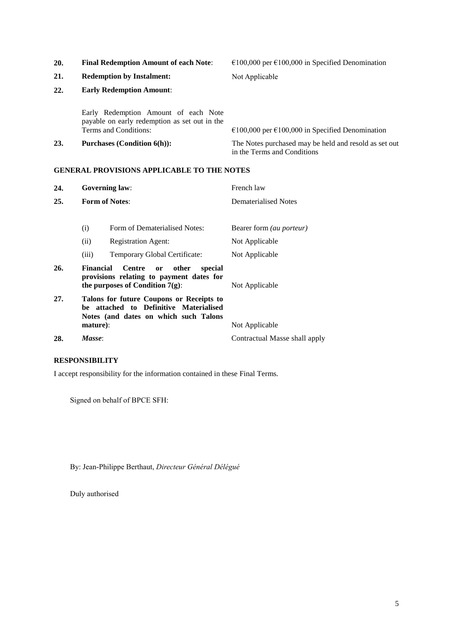| 20. | <b>Final Redemption Amount of each Note:</b>                                                                   | €100,000 per €100,000 in Specified Denomination                                      |  |
|-----|----------------------------------------------------------------------------------------------------------------|--------------------------------------------------------------------------------------|--|
| 21. | <b>Redemption by Instalment:</b>                                                                               | Not Applicable                                                                       |  |
| 22. | <b>Early Redemption Amount:</b>                                                                                |                                                                                      |  |
|     | Early Redemption Amount of each Note<br>payable on early redemption as set out in the<br>Terms and Conditions: | $\epsilon$ 100,000 per $\epsilon$ 100,000 in Specified Denomination                  |  |
| 23. | <b>Purchases (Condition 6(h)):</b>                                                                             | The Notes purchased may be held and resold as set out<br>in the Terms and Conditions |  |

## **GENERAL PROVISIONS APPLICABLE TO THE NOTES**

| 24. |                                                                                                                             | <b>Governing law:</b>                                                                                                                | French law                      |
|-----|-----------------------------------------------------------------------------------------------------------------------------|--------------------------------------------------------------------------------------------------------------------------------------|---------------------------------|
| 25. | <b>Form of Notes:</b>                                                                                                       |                                                                                                                                      | Dematerialised Notes            |
|     | (i)                                                                                                                         | Form of Dematerialised Notes:                                                                                                        | Bearer form <i>(au porteur)</i> |
|     | (ii)                                                                                                                        | <b>Registration Agent:</b>                                                                                                           | Not Applicable                  |
|     | (iii)                                                                                                                       | Temporary Global Certificate:                                                                                                        | Not Applicable                  |
| 26. | <b>Financial</b>                                                                                                            | <b>Centre</b><br>other<br>special<br><sub>or</sub><br>provisions relating to payment dates for<br>the purposes of Condition $7(g)$ : | Not Applicable                  |
| 27. | Talons for future Coupons or Receipts to<br>be attached to Definitive Materialised<br>Notes (and dates on which such Talons |                                                                                                                                      |                                 |
|     | mature):                                                                                                                    |                                                                                                                                      | Not Applicable                  |
| 28. | Masse:                                                                                                                      |                                                                                                                                      | Contractual Masse shall apply   |

## **RESPONSIBILITY**

I accept responsibility for the information contained in these Final Terms.

Signed on behalf of BPCE SFH:

By: Jean-Philippe Berthaut, *Directeur Général Délégué*

Duly authorised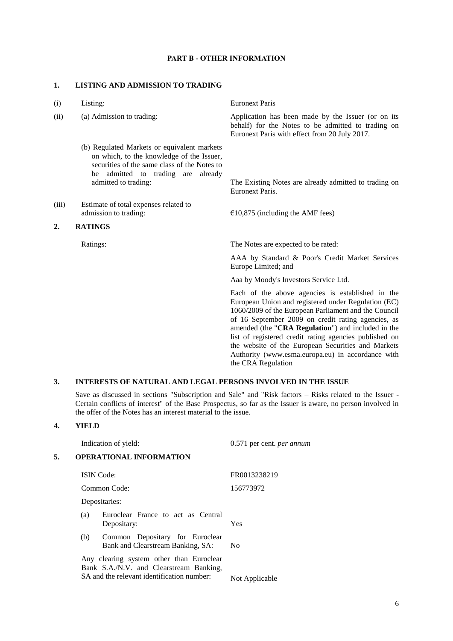#### **PART B - OTHER INFORMATION**

#### **1. LISTING AND ADMISSION TO TRADING**

- (i) Listing: Euronext Paris
- - (b) Regulated Markets or equivalent markets on which, to the knowledge of the Issuer, securities of the same class of the Notes to be admitted to trading are already
- (iii) Estimate of total expenses related to admission to trading:  $\epsilon$  10,875 (including the AMF fees)

## **2. RATINGS**

(ii) (a) Admission to trading: Application has been made by the Issuer (or on its behalf) for the Notes to be admitted to trading on Euronext Paris with effect from 20 July 2017.

> admitted to trading: The Existing Notes are already admitted to trading on Euronext Paris.

Ratings: The Notes are expected to be rated:

AAA by Standard & Poor's Credit Market Services Europe Limited; and

Aaa by Moody's Investors Service Ltd.

Each of the above agencies is established in the European Union and registered under Regulation (EC) 1060/2009 of the European Parliament and the Council of 16 September 2009 on credit rating agencies, as amended (the "**CRA Regulation**") and included in the list of registered credit rating agencies published on the website of the European Securities and Markets Authority [\(www.esma.europa.eu\)](http://www.esma.europa.eu/) in accordance with the CRA Regulation

## **3. INTERESTS OF NATURAL AND LEGAL PERSONS INVOLVED IN THE ISSUE**

Save as discussed in sections "Subscription and Sale" and "Risk factors – Risks related to the Issuer - Certain conflicts of interest" of the Base Prospectus, so far as the Issuer is aware, no person involved in the offer of the Notes has an interest material to the issue.

## **4. YIELD**

Indication of yield: 0.571 per cent. *per annum* **5. OPERATIONAL INFORMATION** ISIN Code: FR0013238219 Common Code: 156773972 Depositaries: (a) Euroclear France to act as Central Depositary: Yes (b) Common Depositary for Euroclear Bank and Clearstream Banking, SA: No Any clearing system other than Euroclear Bank S.A./N.V. and Clearstream Banking, SA and the relevant identification number: Not Applicable